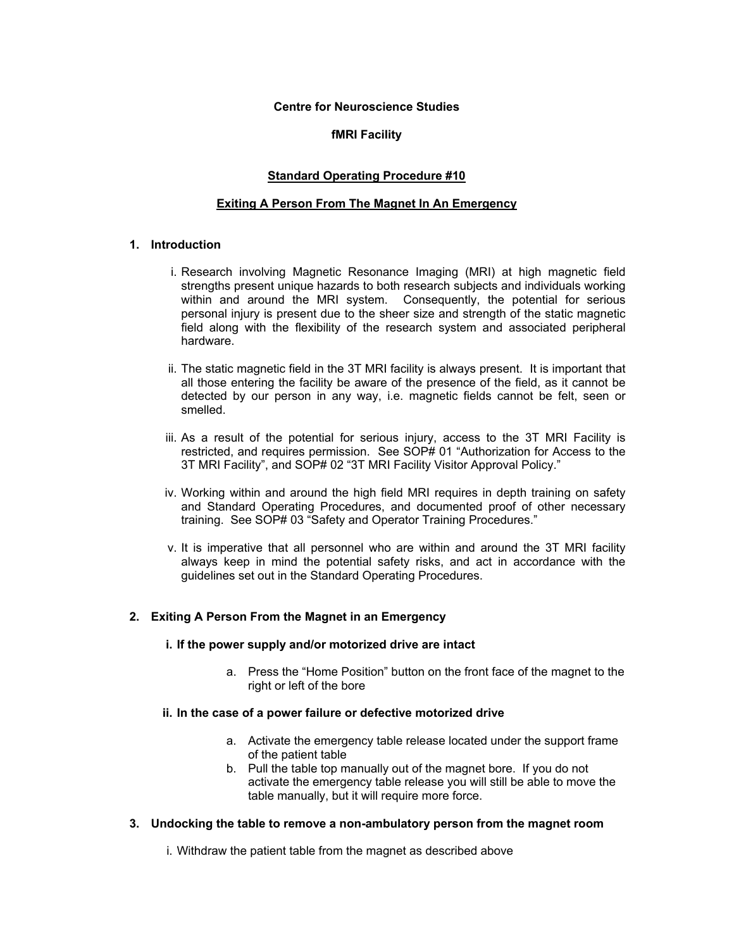#### **Centre for Neuroscience Studies**

# **fMRI Facility**

# **Standard Operating Procedure #10**

# **Exiting A Person From The Magnet In An Emergency**

# **1. Introduction**

- i. Research involving Magnetic Resonance Imaging (MRI) at high magnetic field strengths present unique hazards to both research subjects and individuals working within and around the MRI system. Consequently, the potential for serious personal injury is present due to the sheer size and strength of the static magnetic field along with the flexibility of the research system and associated peripheral hardware.
- ii. The static magnetic field in the 3T MRI facility is always present. It is important that all those entering the facility be aware of the presence of the field, as it cannot be detected by our person in any way, i.e. magnetic fields cannot be felt, seen or smelled.
- iii. As a result of the potential for serious injury, access to the 3T MRI Facility is restricted, and requires permission. See SOP# 01 "Authorization for Access to the 3T MRI Facility", and SOP# 02 "3T MRI Facility Visitor Approval Policy."
- iv. Working within and around the high field MRI requires in depth training on safety and Standard Operating Procedures, and documented proof of other necessary training. See SOP# 03 "Safety and Operator Training Procedures."
- v. It is imperative that all personnel who are within and around the 3T MRI facility always keep in mind the potential safety risks, and act in accordance with the guidelines set out in the Standard Operating Procedures.

### **2. Exiting A Person From the Magnet in an Emergency**

#### **i. If the power supply and/or motorized drive are intact**

a. Press the "Home Position" button on the front face of the magnet to the right or left of the bore

### **ii. In the case of a power failure or defective motorized drive**

- a. Activate the emergency table release located under the support frame of the patient table
- b. Pull the table top manually out of the magnet bore. If you do not activate the emergency table release you will still be able to move the table manually, but it will require more force.

### **3. Undocking the table to remove a non-ambulatory person from the magnet room**

i. Withdraw the patient table from the magnet as described above